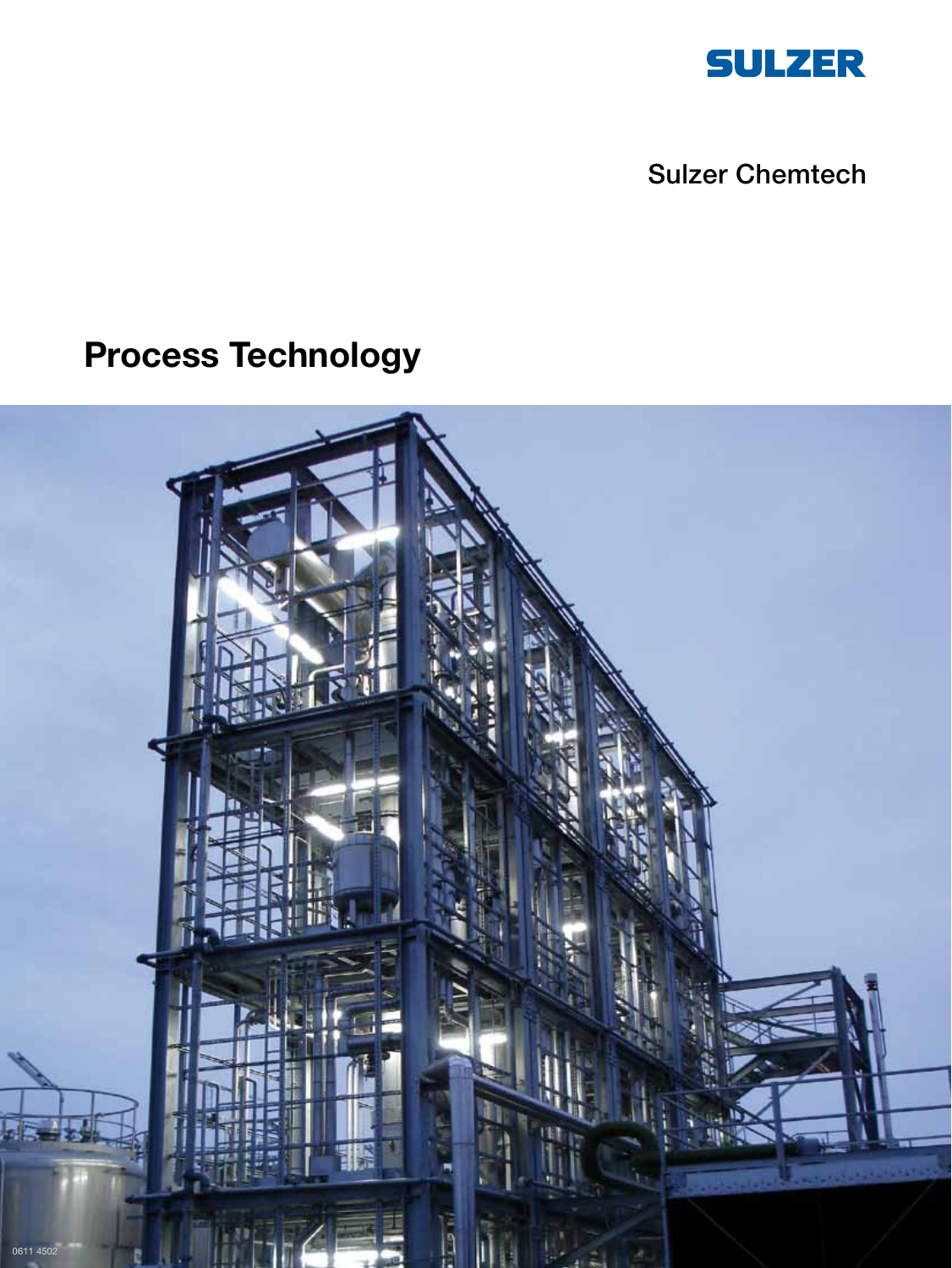

# Sulzer Chemtech

# **Process Technology**

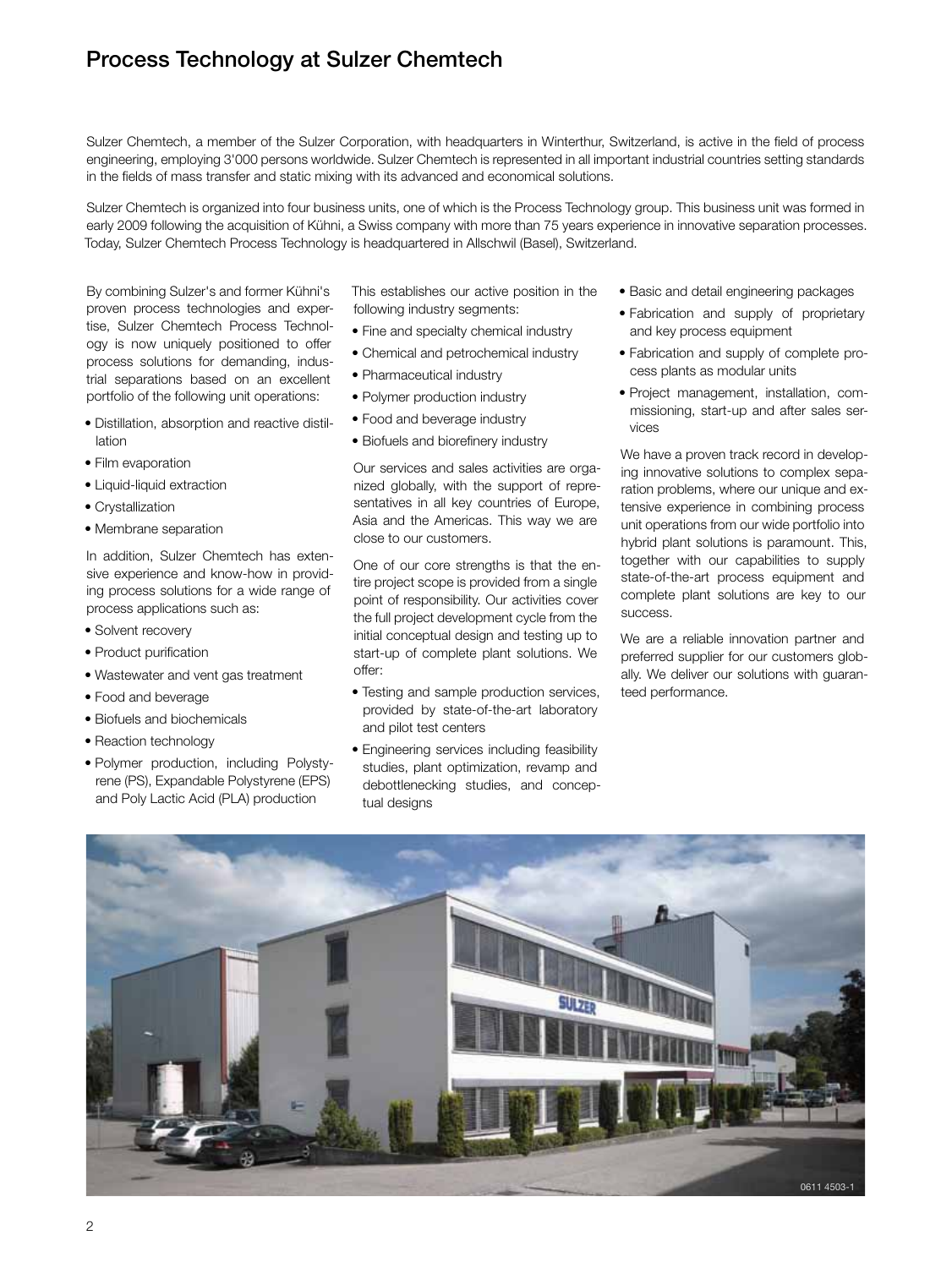# Process Technology at Sulzer Chemtech

Sulzer Chemtech, a member of the Sulzer Corporation, with headquarters in Winterthur, Switzerland, is active in the field of process engineering, employing 3'000 persons worldwide. Sulzer Chemtech is represented in all important industrial countries setting standards in the fields of mass transfer and static mixing with its advanced and economical solutions.

Sulzer Chemtech is organized into four business units, one of which is the Process Technology group. This business unit was formed in early 2009 following the acquisition of Kühni, a Swiss company with more than 75 years experience in innovative separation processes. Today, Sulzer Chemtech Process Technology is headquartered in Allschwil (Basel), Switzerland.

By combining Sulzer's and former Kühni's proven process technologies and expertise, Sulzer Chemtech Process Technology is now uniquely positioned to offer process solutions for demanding, industrial separations based on an excellent portfolio of the following unit operations:

- Distillation, absorption and reactive distillation
- Film evaporation
- Liquid-liquid extraction
- Crystallization
- Membrane separation

In addition, Sulzer Chemtech has extensive experience and know-how in providing process solutions for a wide range of process applications such as:

- Solvent recovery
- Product purification
- Wastewater and vent gas treatment
- Food and beverage
- Biofuels and biochemicals
- Reaction technology
- Polymer production, including Polystyrene (PS), Expandable Polystyrene (EPS) and Poly Lactic Acid (PLA) production

This establishes our active position in the following industry segments:

- Fine and specialty chemical industry
- Chemical and petrochemical industry
- Pharmaceutical industry
- Polymer production industry
- Food and beverage industry
- Biofuels and biorefinery industry

Our services and sales activities are organized globally, with the support of representatives in all key countries of Europe, Asia and the Americas. This way we are close to our customers.

One of our core strengths is that the entire project scope is provided from a single point of responsibility. Our activities cover the full project development cycle from the initial conceptual design and testing up to start-up of complete plant solutions. We offer:

- Testing and sample production services, provided by state-of-the-art laboratory and pilot test centers
- Engineering services including feasibility studies, plant optimization, revamp and debottlenecking studies, and conceptual designs
- Basic and detail engineering packages
- Fabrication and supply of proprietary and key process equipment
- Fabrication and supply of complete process plants as modular units
- Project management, installation, commissioning, start-up and after sales services

We have a proven track record in developing innovative solutions to complex separation problems, where our unique and extensive experience in combining process unit operations from our wide portfolio into hybrid plant solutions is paramount. This, together with our capabilities to supply state-of-the-art process equipment and complete plant solutions are key to our success.

We are a reliable innovation partner and preferred supplier for our customers globally. We deliver our solutions with guaranteed performance.

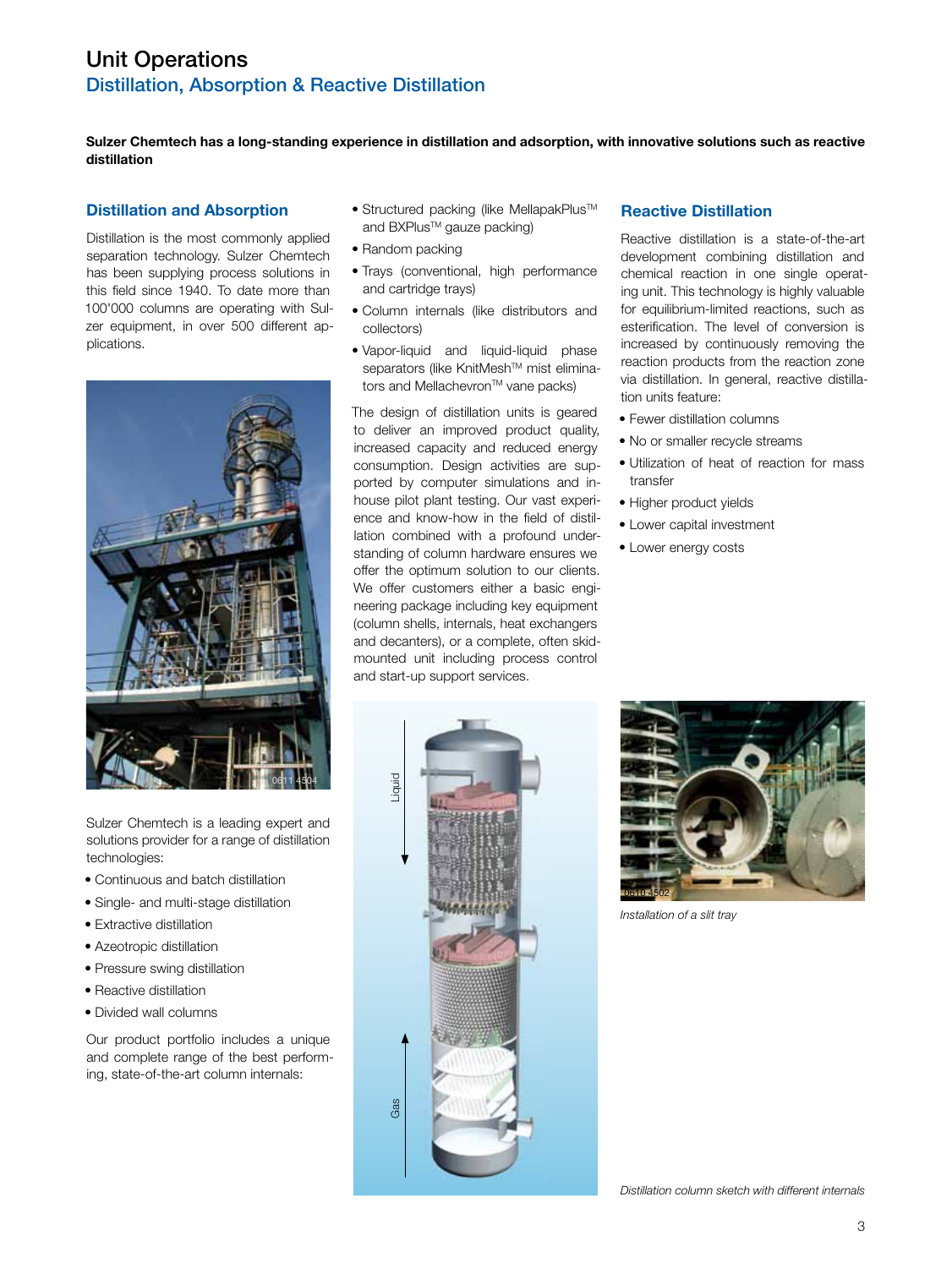# Distillation, Absorption & Reactive Distillation Unit Operations

**Sulzer Chemtech has a long-standing experience in distillation and adsorption, with innovative solutions such as reactive distillation**

## **Distillation and Absorption**

Distillation is the most commonly applied separation technology. Sulzer Chemtech has been supplying process solutions in this field since 1940. To date more than 100'000 columns are operating with Sulzer equipment, in over 500 different applications.



- Sulzer Chemtech is a leading expert and solutions provider for a range of distillation technologies:
- Continuous and batch distillation
- Single- and multi-stage distillation
- Extractive distillation
- Azeotropic distillation
- Pressure swing distillation
- Reactive distillation
- Divided wall columns

Our product portfolio includes a unique and complete range of the best performing, state-of-the-art column internals:

- Structured packing (like MellapakPlus™ and BXPlus™ gauze packing)
- Random packing
- Trays (conventional, high performance and cartridge trays)
- Column internals (like distributors and collectors)
- Vapor-liquid and liquid-liquid phase separators (like KnitMesh™ mist eliminators and Mellachevron™ vane packs)

The design of distillation units is geared to deliver an improved product quality, increased capacity and reduced energy consumption. Design activities are supported by computer simulations and inhouse pilot plant testing. Our vast experience and know-how in the field of distillation combined with a profound understanding of column hardware ensures we offer the optimum solution to our clients. We offer customers either a basic engineering package including key equipment (column shells, internals, heat exchangers and decanters), or a complete, often skidmounted unit including process control and start-up support services.

## **Reactive Distillation**

Reactive distillation is a state-of-the-art development combining distillation and chemical reaction in one single operating unit. This technology is highly valuable for equilibrium-limited reactions, such as esterification. The level of conversion is increased by continuously removing the reaction products from the reaction zone via distillation. In general, reactive distillation units feature:

- Fewer distillation columns
- No or smaller recycle streams
- Utilization of heat of reaction for mass transfer
- Higher product yields
- Lower capital investment
- Lower energy costs





*Installation of a slit tray*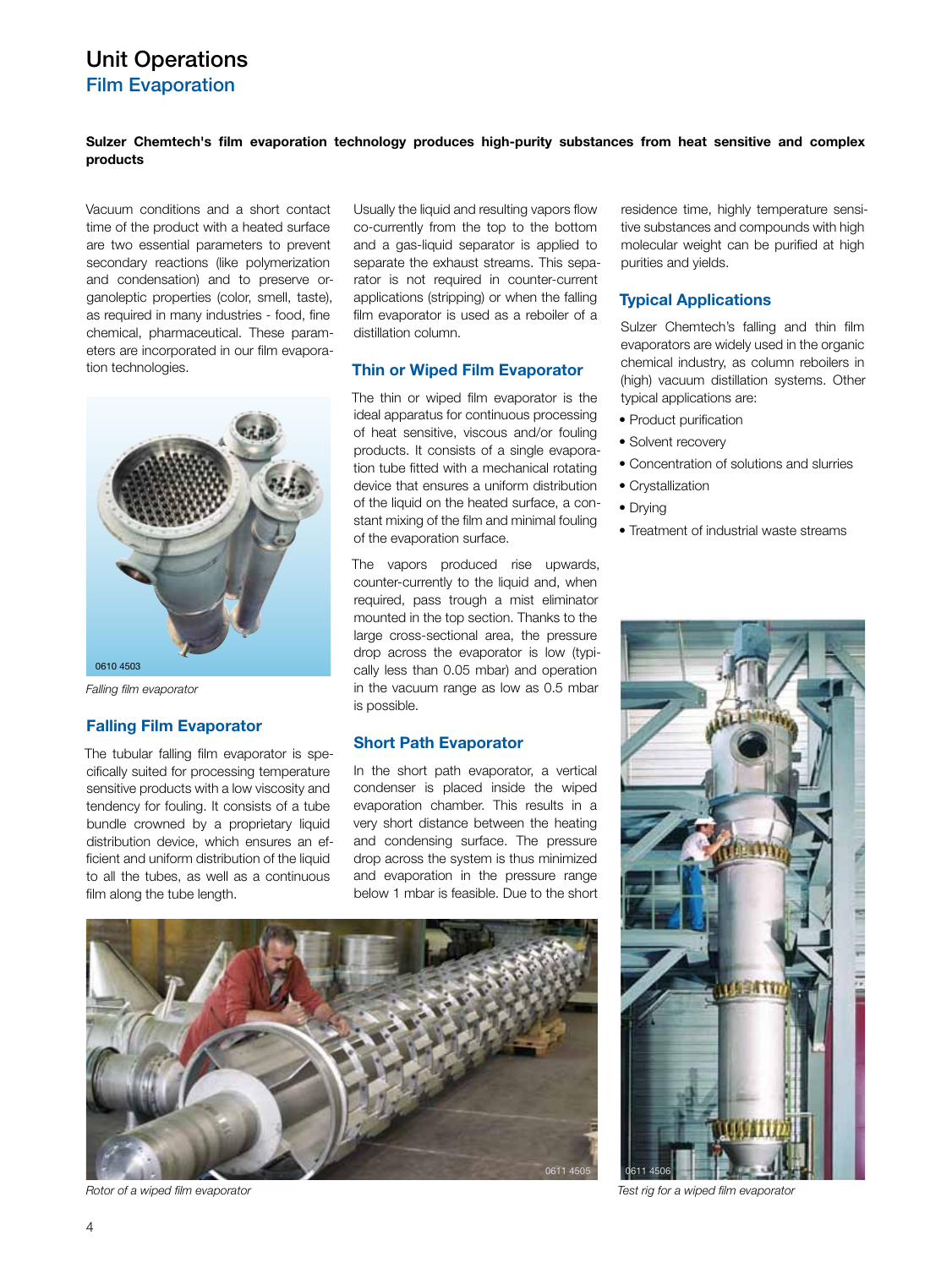# Unit Operations Film Evaporation

## **Sulzer Chemtech's film evaporation technology produces high-purity substances from heat sensitive and complex products**

Vacuum conditions and a short contact time of the product with a heated surface are two essential parameters to prevent secondary reactions (like polymerization and condensation) and to preserve organoleptic properties (color, smell, taste), as required in many industries - food, fine chemical, pharmaceutical. These parameters are incorporated in our film evaporation technologies.



*Falling film evaporator*

## **Falling Film Evaporator**

The tubular falling film evaporator is specifically suited for processing temperature sensitive products with a low viscosity and tendency for fouling. It consists of a tube bundle crowned by a proprietary liquid distribution device, which ensures an efficient and uniform distribution of the liquid to all the tubes, as well as a continuous film along the tube length.

Usually the liquid and resulting vapors flow co-currently from the top to the bottom and a gas-liquid separator is applied to separate the exhaust streams. This separator is not required in counter-current applications (stripping) or when the falling film evaporator is used as a reboiler of a distillation column.

## **Thin or Wiped Film Evaporator**

The thin or wiped film evaporator is the ideal apparatus for continuous processing of heat sensitive, viscous and/or fouling products. It consists of a single evaporation tube fitted with a mechanical rotating device that ensures a uniform distribution of the liquid on the heated surface, a constant mixing of the film and minimal fouling of the evaporation surface.

The vapors produced rise upwards, counter-currently to the liquid and, when required, pass trough a mist eliminator mounted in the top section. Thanks to the large cross-sectional area, the pressure drop across the evaporator is low (typically less than 0.05 mbar) and operation in the vacuum range as low as 0.5 mbar is possible.

## **Short Path Evaporator**

In the short path evaporator, a vertical condenser is placed inside the wiped evaporation chamber. This results in a very short distance between the heating and condensing surface. The pressure drop across the system is thus minimized and evaporation in the pressure range below 1 mbar is feasible. Due to the short



*Rotor of a wiped film evaporator Test rig for a wiped film evaporator*

residence time, highly temperature sensitive substances and compounds with high molecular weight can be purified at high purities and yields.

## **Typical Applications**

Sulzer Chemtech's falling and thin film evaporators are widely used in the organic chemical industry, as column reboilers in (high) vacuum distillation systems. Other typical applications are:

- Product purification
- Solvent recovery
- Concentration of solutions and slurries
- Crystallization
- Drying
- Treatment of industrial waste streams

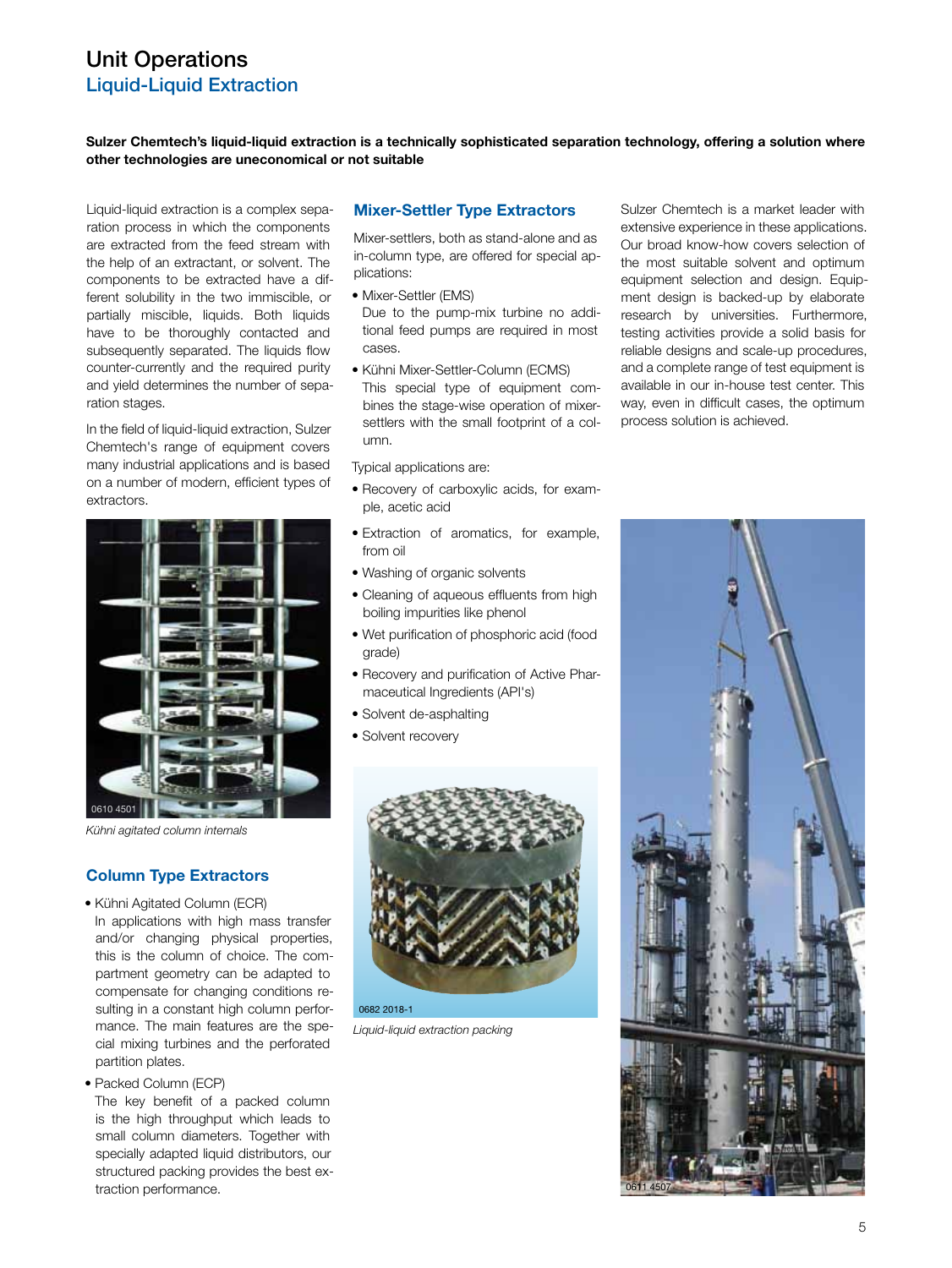## Unit Operations Liquid-Liquid Extraction

**Sulzer Chemtech's liquid-liquid extraction is a technically sophisticated separation technology, offering a solution where other technologies are uneconomical or not suitable**

Liquid-liquid extraction is a complex separation process in which the components are extracted from the feed stream with the help of an extractant, or solvent. The components to be extracted have a different solubility in the two immiscible, or partially miscible, liquids. Both liquids have to be thoroughly contacted and subsequently separated. The liquids flow counter-currently and the required purity and yield determines the number of separation stages.

In the field of liquid-liquid extraction, Sulzer Chemtech's range of equipment covers many industrial applications and is based on a number of modern, efficient types of extractors.



*Kühni agitated column internals*

## **Column Type Extractors**

- Kühni Agitated Column (ECR)
- In applications with high mass transfer and/or changing physical properties, this is the column of choice. The compartment geometry can be adapted to compensate for changing conditions resulting in a constant high column performance. The main features are the special mixing turbines and the perforated partition plates.
- Packed Column (ECP)

The key benefit of a packed column is the high throughput which leads to small column diameters. Together with specially adapted liquid distributors, our structured packing provides the best extraction performance.

#### **Mixer-Settler Type Extractors**

Mixer-settlers, both as stand-alone and as in-column type, are offered for special applications:

- Mixer-Settler (EMS)
- Due to the pump-mix turbine no additional feed pumps are required in most cases.
- Kühni Mixer-Settler-Column (ECMS) This special type of equipment combines the stage-wise operation of mixersettlers with the small footprint of a column.

Typical applications are:

- Recovery of carboxylic acids, for example, acetic acid
- Extraction of aromatics, for example, from oil
- Washing of organic solvents
- Cleaning of aqueous effluents from high boiling impurities like phenol
- Wet purification of phosphoric acid (food grade)
- Recovery and purification of Active Pharmaceutical Ingredients (API's)
- Solvent de-asphalting
- Solvent recovery



*Liquid-liquid extraction packing*

Sulzer Chemtech is a market leader with extensive experience in these applications. Our broad know-how covers selection of the most suitable solvent and optimum equipment selection and design. Equipment design is backed-up by elaborate research by universities. Furthermore, testing activities provide a solid basis for reliable designs and scale-up procedures, and a complete range of test equipment is available in our in-house test center. This way, even in difficult cases, the optimum process solution is achieved.

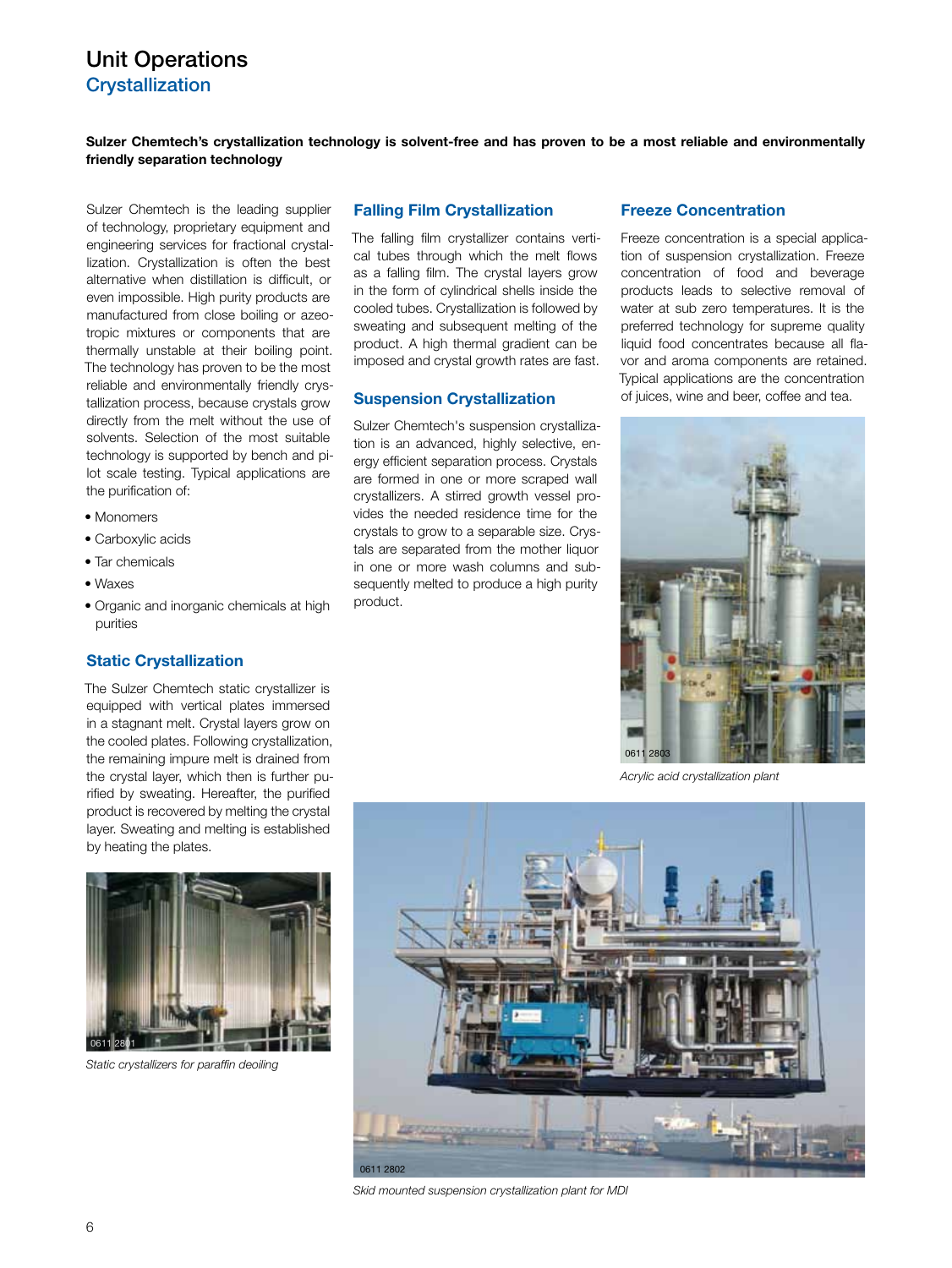# Unit Operations **Crystallization**

**Sulzer Chemtech's crystallization technology is solvent-free and has proven to be a most reliable and environmentally friendly separation technology**

Sulzer Chemtech is the leading supplier of technology, proprietary equipment and engineering services for fractional crystallization. Crystallization is often the best alternative when distillation is difficult, or even impossible. High purity products are manufactured from close boiling or azeotropic mixtures or components that are thermally unstable at their boiling point. The technology has proven to be the most reliable and environmentally friendly crystallization process, because crystals grow directly from the melt without the use of solvents. Selection of the most suitable technology is supported by bench and pilot scale testing. Typical applications are the purification of:

- Monomers
- Carboxylic acids
- Tar chemicals
- Waxes
- Organic and inorganic chemicals at high purities

## **Static Crystallization**

The Sulzer Chemtech static crystallizer is equipped with vertical plates immersed in a stagnant melt. Crystal layers grow on the cooled plates. Following crystallization, the remaining impure melt is drained from the crystal layer, which then is further purified by sweating. Hereafter, the purified product is recovered by melting the crystal layer. Sweating and melting is established by heating the plates.



*Static crystallizers for paraffin deoiling*

#### **Falling Film Crystallization**

The falling film crystallizer contains vertical tubes through which the melt flows as a falling film. The crystal layers grow in the form of cylindrical shells inside the cooled tubes. Crystallization is followed by sweating and subsequent melting of the product. A high thermal gradient can be imposed and crystal growth rates are fast.

## **Suspension Crystallization**

Sulzer Chemtech's suspension crystallization is an advanced, highly selective, energy efficient separation process. Crystals are formed in one or more scraped wall crystallizers. A stirred growth vessel provides the needed residence time for the crystals to grow to a separable size. Crystals are separated from the mother liquor in one or more wash columns and subsequently melted to produce a high purity product.

#### **Freeze Concentration**

Freeze concentration is a special application of suspension crystallization. Freeze concentration of food and beverage products leads to selective removal of water at sub zero temperatures. It is the preferred technology for supreme quality liquid food concentrates because all flavor and aroma components are retained. Typical applications are the concentration of juices, wine and beer, coffee and tea.



*Acrylic acid crystallization plant*



*Skid mounted suspension crystallization plant for MDI*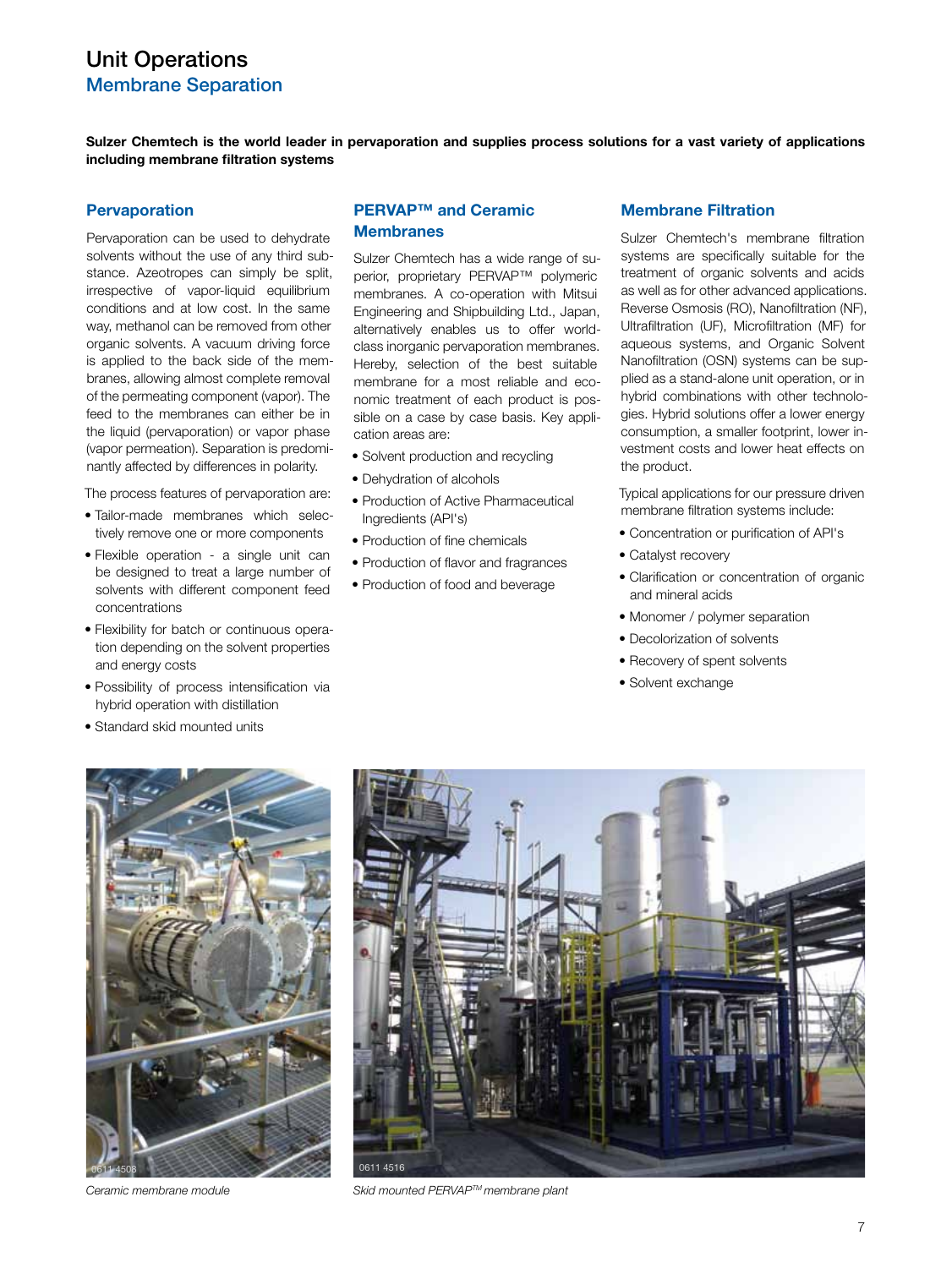# Unit Operations Membrane Separation

**Sulzer Chemtech is the world leader in pervaporation and supplies process solutions for a vast variety of applications including membrane filtration systems**

#### **Pervaporation**

Pervaporation can be used to dehydrate solvents without the use of any third substance. Azeotropes can simply be split, irrespective of vapor-liquid equilibrium conditions and at low cost. In the same way, methanol can be removed from other organic solvents. A vacuum driving force is applied to the back side of the membranes, allowing almost complete removal of the permeating component (vapor). The feed to the membranes can either be in the liquid (pervaporation) or vapor phase (vapor permeation). Separation is predominantly affected by differences in polarity.

The process features of pervaporation are:

- Tailor-made membranes which selectively remove one or more components
- Flexible operation a single unit can be designed to treat a large number of solvents with different component feed concentrations
- Flexibility for batch or continuous operation depending on the solvent properties and energy costs
- Possibility of process intensification via hybrid operation with distillation
- Standard skid mounted units

## **PERVAP™ and Ceramic Membranes**

Sulzer Chemtech has a wide range of superior, proprietary PERVAP™ polymeric membranes. A co-operation with Mitsui Engineering and Shipbuilding Ltd., Japan, alternatively enables us to offer worldclass inorganic pervaporation membranes. Hereby, selection of the best suitable membrane for a most reliable and economic treatment of each product is possible on a case by case basis. Key application areas are:

- Solvent production and recycling
- Dehydration of alcohols
- Production of Active Pharmaceutical Ingredients (API's)
- Production of fine chemicals
- Production of flavor and fragrances
- Production of food and beverage

## **Membrane Filtration**

Sulzer Chemtech's membrane filtration systems are specifically suitable for the treatment of organic solvents and acids as well as for other advanced applications. Reverse Osmosis (RO), Nanofiltration (NF), Ultrafiltration (UF), Microfiltration (MF) for aqueous systems, and Organic Solvent Nanofiltration (OSN) systems can be supplied as a stand-alone unit operation, or in hybrid combinations with other technologies. Hybrid solutions offer a lower energy consumption, a smaller footprint, lower investment costs and lower heat effects on the product.

Typical applications for our pressure driven membrane filtration systems include:

- Concentration or purification of API's
- Catalyst recovery
- Clarification or concentration of organic and mineral acids
- Monomer / polymer separation
- Decolorization of solvents
- Recovery of spent solvents
- Solvent exchange





*Ceramic membrane module Skid mounted PERVAPTM membrane plant*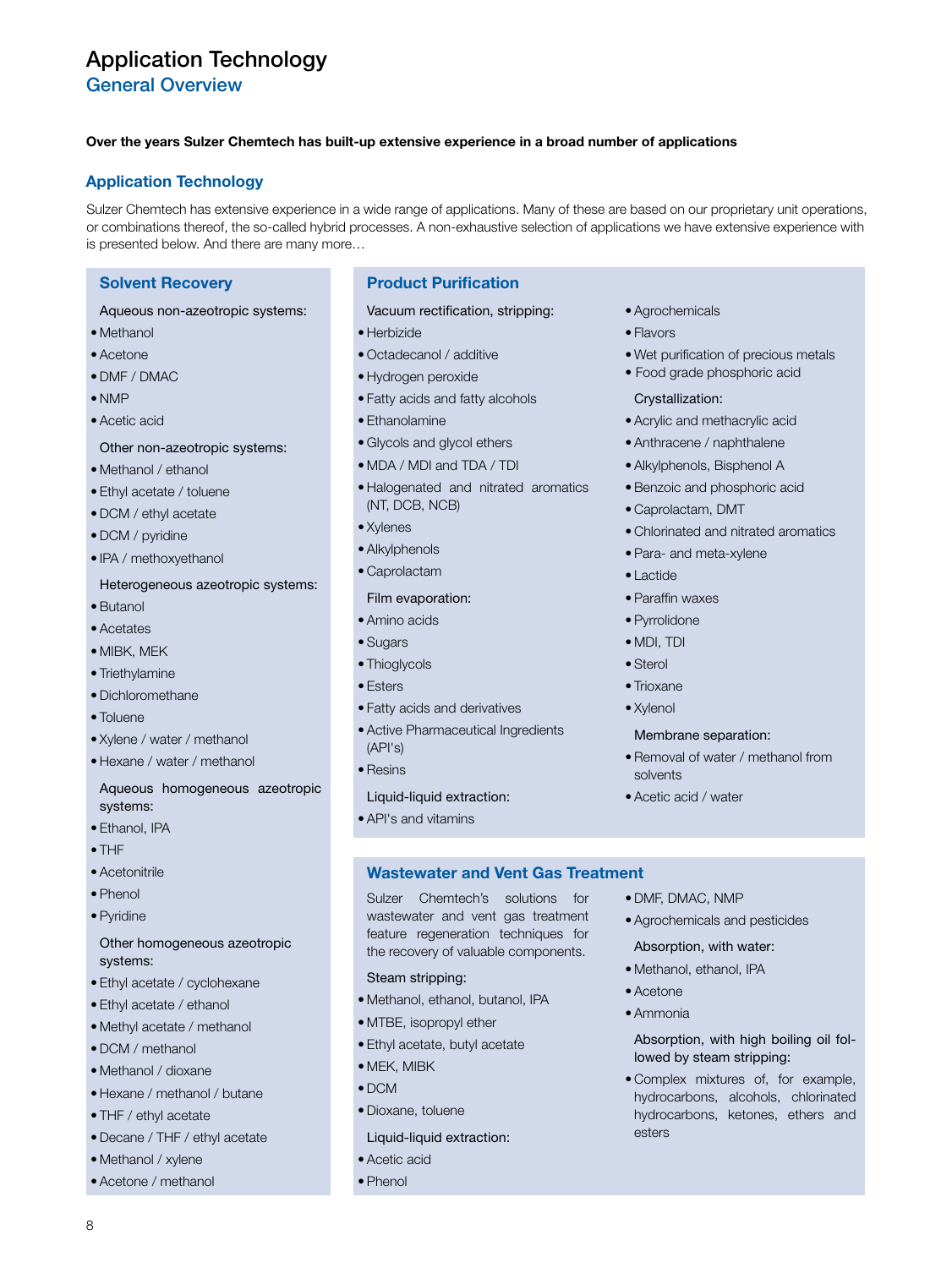General Overview

## **Over the years Sulzer Chemtech has built-up extensive experience in a broad number of applications**

## **Application Technology**

Sulzer Chemtech has extensive experience in a wide range of applications. Many of these are based on our proprietary unit operations, or combinations thereof, the so-called hybrid processes. A non-exhaustive selection of applications we have extensive experience with is presented below. And there are many more…

## **Solvent Recovery**

### Aqueous non-azeotropic systems:

- Methanol
- Acetone
- DMF / DMAC
- NMP
- Acetic acid

## Other non-azeotropic systems:

- Methanol / ethanol
- Ethyl acetate / toluene
- DCM / ethyl acetate
- DCM / pyridine
- IPA / methoxyethanol

#### Heterogeneous azeotropic systems:

- Butanol
- Acetates
- MIBK, MEK
- Triethylamine
- Dichloromethane
- Toluene
- Xylene / water / methanol
- Hexane / water / methanol

## Aqueous homogeneous azeotropic systems:

- Ethanol, IPA
- THF
- Acetonitrile
- Phenol
- Pyridine

## Other homogeneous azeotropic systems:

- Ethyl acetate / cyclohexane
- Ethyl acetate / ethanol
- Methyl acetate / methanol
- DCM / methanol
- Methanol / dioxane
- Hexane / methanol / butane
- THF / ethyl acetate
- Decane / THF / ethyl acetate
- Methanol / xylene

8

• Acetone / methanol

## **Product Purification**

Vacuum rectification, stripping:

- Herbizide
- Octadecanol / additive
- Hydrogen peroxide
- Fatty acids and fatty alcohols
- Ethanolamine
- Glycols and glycol ethers
- MDA / MDI and TDA / TDI
- Halogenated and nitrated aromatics (NT, DCB, NCB)
- Xylenes
- Alkylphenols
- Caprolactam

## Film evaporation:

- Amino acids
- Sugars
- Thioglycols
- Esters
- Fatty acids and derivatives
- Active Pharmaceutical Ingredients (API's)
- Resins

### Liquid-liquid extraction:

• API's and vitamins

## **Wastewater and Vent Gas Treatment**

Sulzer Chemtech's solutions for wastewater and vent gas treatment feature regeneration techniques for the recovery of valuable components.

- Steam stripping:
- Methanol, ethanol, butanol, IPA
- MTBE, isopropyl ether
- Ethyl acetate, butyl acetate
- MEK, MIBK
- DCM
- Dioxane, toluene
- Liquid-liquid extraction:

#### • Acetic acid

• Phenol

- Agrochemicals
- Flavors
- Wet purification of precious metals
- Food grade phosphoric acid

## Crystallization:

- Acrylic and methacrylic acid
- Anthracene / naphthalene
- Alkylphenols, Bisphenol A
- Benzoic and phosphoric acid
- Caprolactam, DMT
- Chlorinated and nitrated aromatics
- Para- and meta-xylene
- Lactide
- Paraffin waxes
- Pyrrolidone
- MDI, TDI
- Sterol
- Trioxane
- Xylenol

#### Membrane separation:

• Acetic acid / water

• DMF, DMAC, NMP

• Acetone • Ammonia

esters

• Agrochemicals and pesticides Absorption, with water: • Methanol, ethanol, IPA

lowed by steam stripping:

Absorption, with high boiling oil fol-

• Complex mixtures of, for example, hydrocarbons, alcohols, chlorinated hydrocarbons, ketones, ethers and

• Removal of water / methanol from solvents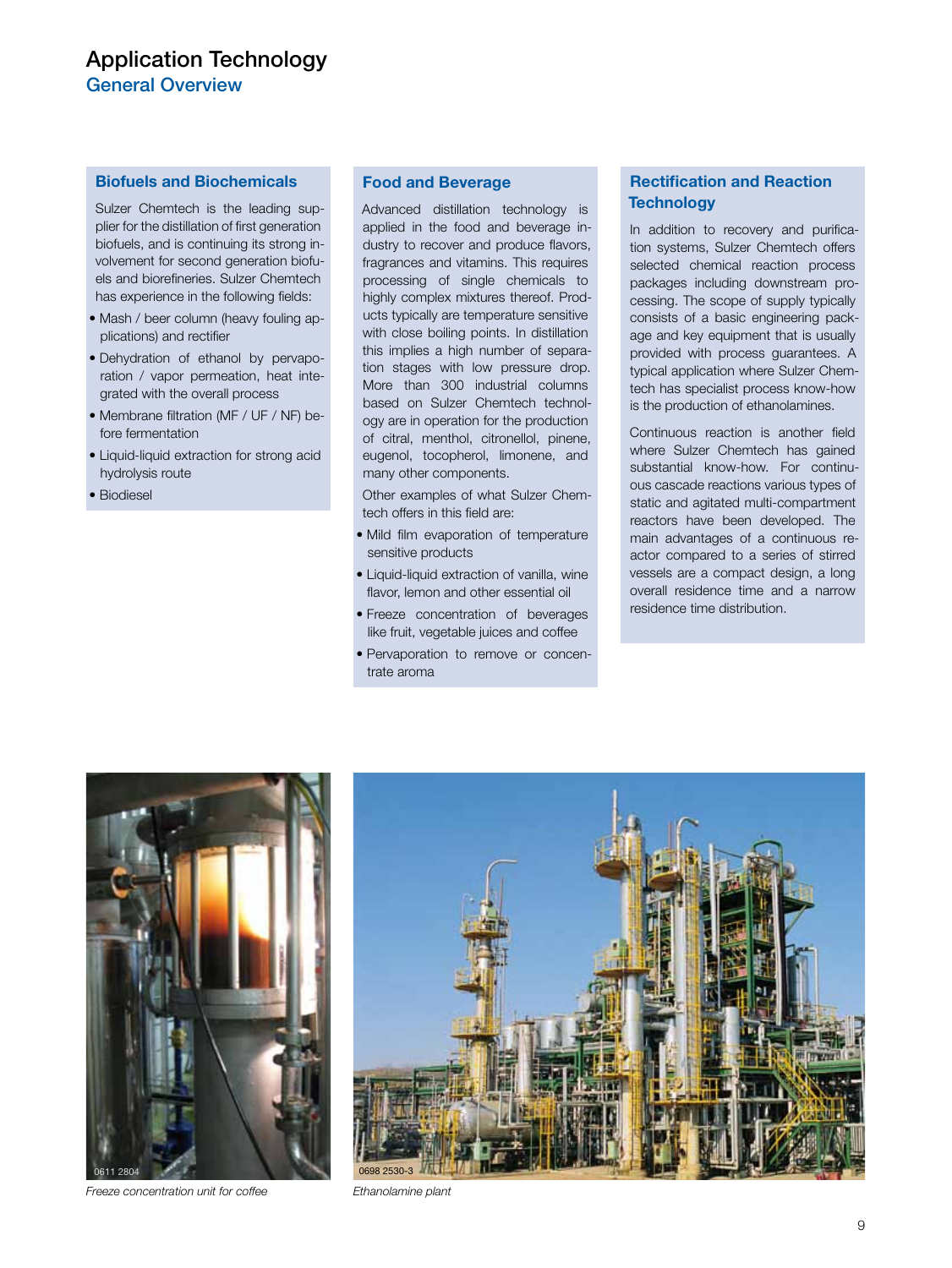General Overview

## **Biofuels and Biochemicals**

Sulzer Chemtech is the leading supplier for the distillation of first generation biofuels, and is continuing its strong involvement for second generation biofuels and biorefineries. Sulzer Chemtech has experience in the following fields:

- Mash / beer column (heavy fouling applications) and rectifier
- Dehydration of ethanol by pervaporation / vapor permeation, heat integrated with the overall process
- Membrane filtration (MF / UF / NF) before fermentation
- Liquid-liquid extraction for strong acid hydrolysis route
- Biodiesel

## **Food and Beverage**

Advanced distillation technology is applied in the food and beverage industry to recover and produce flavors, fragrances and vitamins. This requires processing of single chemicals to highly complex mixtures thereof. Products typically are temperature sensitive with close boiling points. In distillation this implies a high number of separation stages with low pressure drop. More than 300 industrial columns based on Sulzer Chemtech technology are in operation for the production of citral, menthol, citronellol, pinene, eugenol, tocopherol, limonene, and many other components.

Other examples of what Sulzer Chemtech offers in this field are:

- Mild film evaporation of temperature sensitive products
- Liquid-liquid extraction of vanilla, wine flavor, lemon and other essential oil
- Freeze concentration of beverages like fruit, vegetable juices and coffee
- Pervaporation to remove or concentrate aroma

## **Rectification and Reaction Technology**

In addition to recovery and purification systems, Sulzer Chemtech offers selected chemical reaction process packages including downstream processing. The scope of supply typically consists of a basic engineering package and key equipment that is usually provided with process guarantees. A typical application where Sulzer Chemtech has specialist process know-how is the production of ethanolamines.

Continuous reaction is another field where Sulzer Chemtech has gained substantial know-how. For continuous cascade reactions various types of static and agitated multi-compartment reactors have been developed. The main advantages of a continuous reactor compared to a series of stirred vessels are a compact design, a long overall residence time and a narrow residence time distribution.



*Freeze concentration unit for coffee Ethanolamine plant*

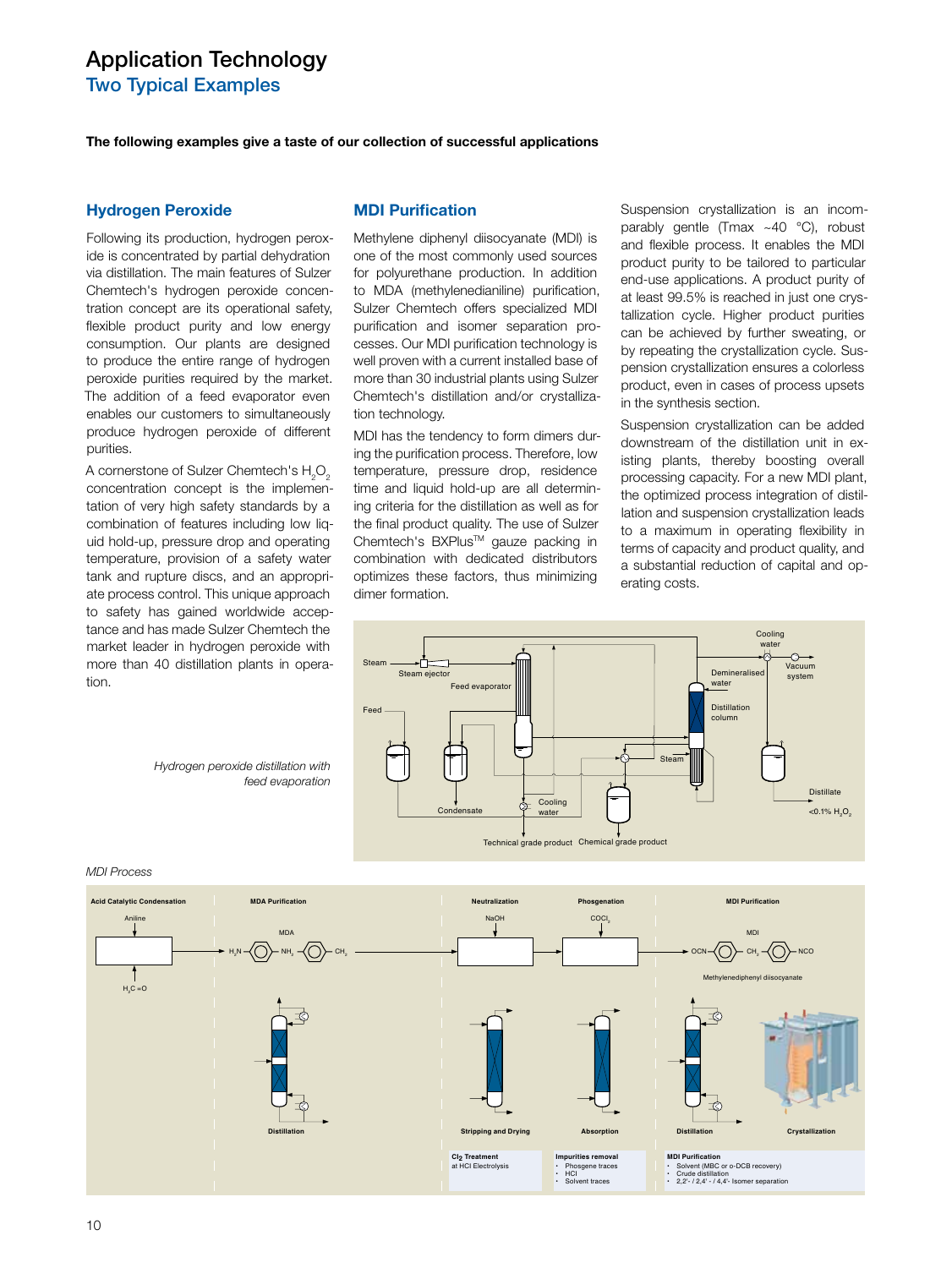Two Typical Examples

**The following examples give a taste of our collection of successful applications**

#### **Hydrogen Peroxide**

Following its production, hydrogen peroxide is concentrated by partial dehydration via distillation. The main features of Sulzer Chemtech's hydrogen peroxide concentration concept are its operational safety, flexible product purity and low energy consumption. Our plants are designed to produce the entire range of hydrogen peroxide purities required by the market. The addition of a feed evaporator even enables our customers to simultaneously produce hydrogen peroxide of different purities.

A cornerstone of Sulzer Chemtech's  ${\sf H}_{\scriptscriptstyle 2} {\sf O}_{\scriptscriptstyle 2}$ concentration concept is the implementation of very high safety standards by a combination of features including low liquid hold-up, pressure drop and operating temperature, provision of a safety water tank and rupture discs, and an appropriate process control. This unique approach to safety has gained worldwide acceptance and has made Sulzer Chemtech the market leader in hydrogen peroxide with more than 40 distillation plants in operation.

*Hydrogen peroxide distillation with* 

*feed evaporation*

#### **MDI Purification**

Methylene diphenyl diisocyanate (MDI) is one of the most commonly used sources for polyurethane production. In addition to MDA (methylenedianiline) purification, Sulzer Chemtech offers specialized MDI purification and isomer separation processes. Our MDI purification technology is well proven with a current installed base of more than 30 industrial plants using Sulzer Chemtech's distillation and/or crystallization technology.

MDI has the tendency to form dimers during the purification process. Therefore, low temperature, pressure drop, residence time and liquid hold-up are all determining criteria for the distillation as well as for the final product quality. The use of Sulzer Chemtech's BXPlus™ gauze packing in combination with dedicated distributors optimizes these factors, thus minimizing dimer formation.

Suspension crystallization is an incomparably gentle (Tmax  $\sim$  40 °C), robust and flexible process. It enables the MDI product purity to be tailored to particular end-use applications. A product purity of at least 99.5% is reached in just one crystallization cycle. Higher product purities can be achieved by further sweating, or by repeating the crystallization cycle. Suspension crystallization ensures a colorless product, even in cases of process upsets in the synthesis section.

Suspension crystallization can be added downstream of the distillation unit in existing plants, thereby boosting overall processing capacity. For a new MDI plant, the optimized process integration of distillation and suspension crystallization leads to a maximum in operating flexibility in terms of capacity and product quality, and a substantial reduction of capital and operating costs.





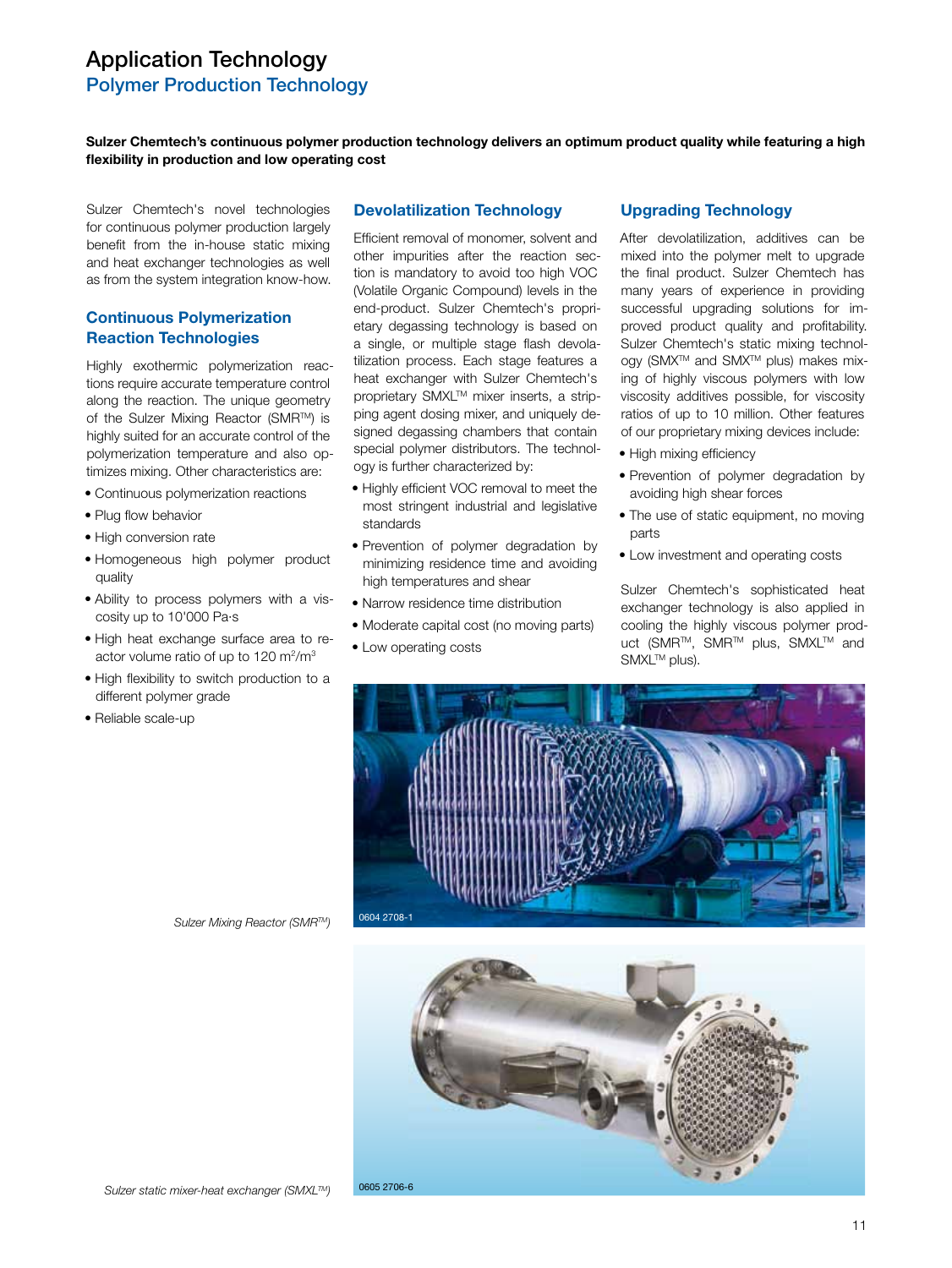# Application Technology Polymer Production Technology

**Sulzer Chemtech's continuous polymer production technology delivers an optimum product quality while featuring a high fl exibility in production and low operating cost**

Sulzer Chemtech's novel technologies for continuous polymer production largely benefit from the in-house static mixing and heat exchanger technologies as well as from the system integration know-how.

## **Continuous Polymerization Reaction Technologies**

Highly exothermic polymerization reactions require accurate temperature control along the reaction. The unique geometry of the Sulzer Mixing Reactor (SMRTM) is highly suited for an accurate control of the polymerization temperature and also optimizes mixing. Other characteristics are:

- Continuous polymerization reactions
- Plug flow behavior
- High conversion rate
- Homogeneous high polymer product quality
- Ability to process polymers with a viscosity up to 10'000 Pa·s
- High heat exchange surface area to reactor volume ratio of up to 120 m<sup>2</sup>/m<sup>3</sup>
- High flexibility to switch production to a different polymer grade
- Reliable scale-up

#### **Devolatilization Technology**

Efficient removal of monomer, solvent and other impurities after the reaction section is mandatory to avoid too high VOC (Volatile Organic Compound) levels in the end-product. Sulzer Chemtech's proprietary degassing technology is based on a single, or multiple stage flash devolatilization process. Each stage features a heat exchanger with Sulzer Chemtech's proprietary SMXL™ mixer inserts, a stripping agent dosing mixer, and uniquely designed degassing chambers that contain special polymer distributors. The technology is further characterized by:

- Highly efficient VOC removal to meet the most stringent industrial and legislative standards
- Prevention of polymer degradation by minimizing residence time and avoiding high temperatures and shear
- Narrow residence time distribution
- Moderate capital cost (no moving parts)
- Low operating costs

## **Upgrading Technology**

After devolatilization, additives can be mixed into the polymer melt to upgrade the final product. Sulzer Chemtech has many years of experience in providing successful upgrading solutions for improved product quality and profitability. Sulzer Chemtech's static mixing technology (SMX<sup>™</sup> and SMX<sup>™</sup> plus) makes mixing of highly viscous polymers with low viscosity additives possible, for viscosity ratios of up to 10 million. Other features of our proprietary mixing devices include:

- High mixing efficiency
- Prevention of polymer degradation by avoiding high shear forces
- The use of static equipment, no moving parts
- Low investment and operating costs

Sulzer Chemtech's sophisticated heat exchanger technology is also applied in cooling the highly viscous polymer product (SMR™, SMR™ plus, SMXL™ and SMXL<sup>™</sup> plus).



*Sulzer Mixing Reactor (SMRTM)*

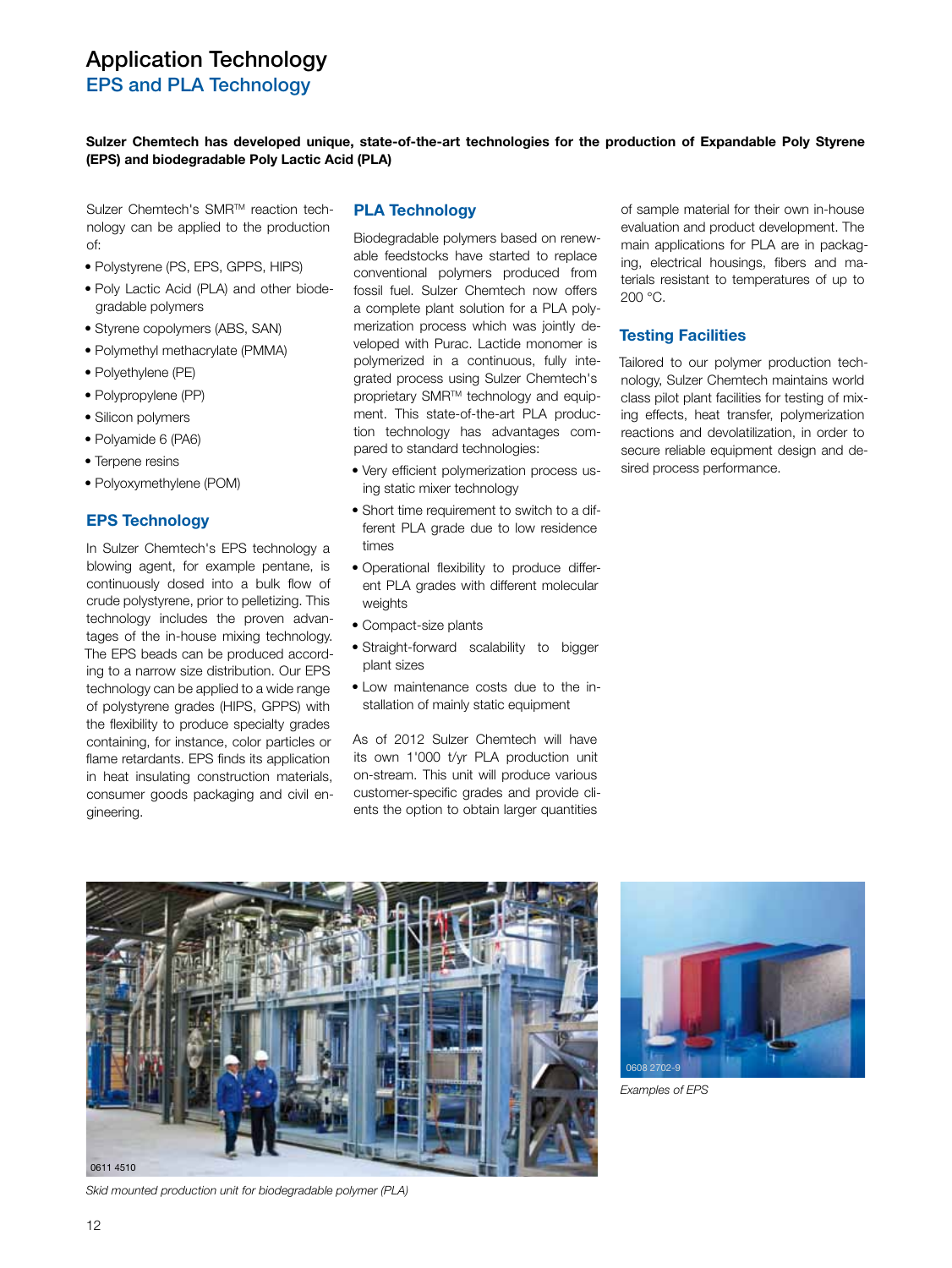EPS and PLA Technology

**Sulzer Chemtech has developed unique, state-of-the-art technologies for the production of Expandable Poly Styrene (EPS) and biodegradable Poly Lactic Acid (PLA)**

Sulzer Chemtech's SMR<sup>™</sup> reaction technology can be applied to the production of:

- Polystyrene (PS, EPS, GPPS, HIPS)
- Poly Lactic Acid (PLA) and other biodegradable polymers
- Styrene copolymers (ABS, SAN)
- Polymethyl methacrylate (PMMA)
- Polyethylene (PE)
- Polypropylene (PP)
- Silicon polymers
- Polyamide 6 (PA6)
- Terpene resins
- Polyoxymethylene (POM)

## **EPS Technology**

In Sulzer Chemtech's EPS technology a blowing agent, for example pentane, is continuously dosed into a bulk flow of crude polystyrene, prior to pelletizing. This technology includes the proven advantages of the in-house mixing technology. The EPS beads can be produced according to a narrow size distribution. Our EPS technology can be applied to a wide range of polystyrene grades (HIPS, GPPS) with the flexibility to produce specialty grades containing, for instance, color particles or flame retardants. EPS finds its application in heat insulating construction materials, consumer goods packaging and civil engineering.

#### **PLA Technology**

Biodegradable polymers based on renewable feedstocks have started to replace conventional polymers produced from fossil fuel. Sulzer Chemtech now offers a complete plant solution for a PLA polymerization process which was jointly developed with Purac. Lactide monomer is polymerized in a continuous, fully integrated process using Sulzer Chemtech's proprietary SMR™ technology and equipment. This state-of-the-art PLA production technology has advantages compared to standard technologies:

- Very efficient polymerization process using static mixer technology
- Short time requirement to switch to a different PLA grade due to low residence times
- Operational flexibility to produce different PLA grades with different molecular weights
- Compact-size plants
- Straight-forward scalability to bigger plant sizes
- Low maintenance costs due to the installation of mainly static equipment

As of 2012 Sulzer Chemtech will have its own 1'000 t/yr PLA production unit on-stream. This unit will produce various customer-specific grades and provide clients the option to obtain larger quantities

of sample material for their own in-house evaluation and product development. The main applications for PLA are in packaging, electrical housings, fibers and materials resistant to temperatures of up to 200 °C.

## **Testing Facilities**

Tailored to our polymer production technology, Sulzer Chemtech maintains world class pilot plant facilities for testing of mixing effects, heat transfer, polymerization reactions and devolatilization, in order to secure reliable equipment design and desired process performance.





*Examples of EPS*

*Skid mounted production unit for biodegradable polymer (PLA)*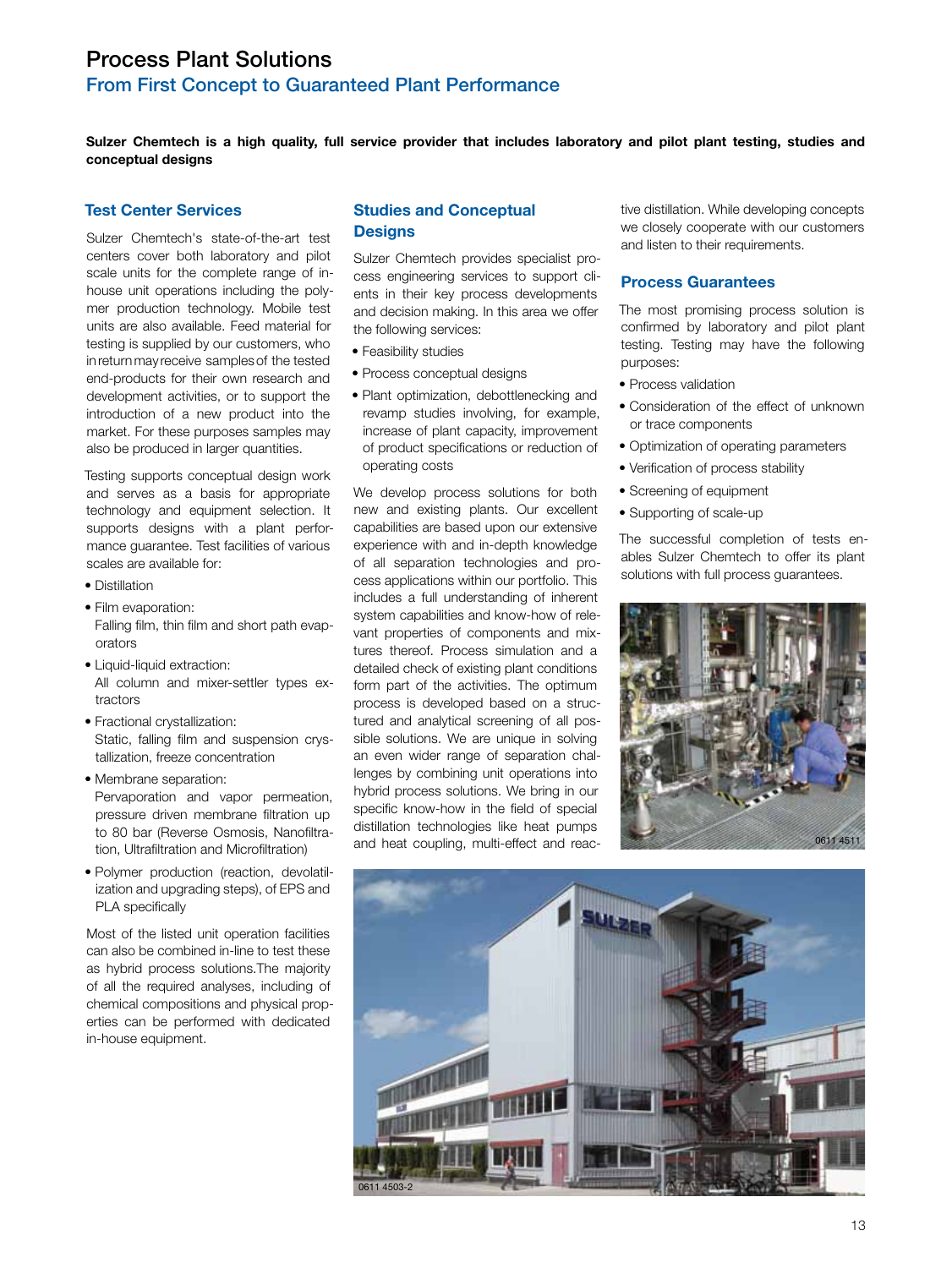## Process Plant Solutions

## From First Concept to Guaranteed Plant Performance

**Sulzer Chemtech is a high quality, full service provider that includes laboratory and pilot plant testing, studies and conceptual designs**

## **Test Center Services**

Sulzer Chemtech's state-of-the-art test centers cover both laboratory and pilot scale units for the complete range of inhouse unit operations including the polymer production technology. Mobile test units are also available. Feed material for testing is supplied by our customers, who in return may receive samples of the tested end-products for their own research and development activities, or to support the introduction of a new product into the market. For these purposes samples may also be produced in larger quantities.

Testing supports conceptual design work and serves as a basis for appropriate technology and equipment selection. It supports designs with a plant performance guarantee. Test facilities of various scales are available for:

- Distillation
- Film evaporation: Falling film, thin film and short path evaporators
- Liquid-liquid extraction: All column and mixer-settler types extractors
- Fractional crystallization: Static, falling film and suspension crystallization, freeze concentration
- Membrane separation: Pervaporation and vapor permeation, pressure driven membrane filtration up to 80 bar (Reverse Osmosis, Nanofiltration, Ultrafiltration and Microfiltration)
- Polymer production (reaction, devolatilization and upgrading steps), of EPS and PLA specifically

Most of the listed unit operation facilities can also be combined in-line to test these as hybrid process solutions.The majority of all the required analyses, including of chemical compositions and physical properties can be performed with dedicated in-house equipment.

## **Studies and Conceptual Designs**

Sulzer Chemtech provides specialist process engineering services to support clients in their key process developments and decision making. In this area we offer the following services:

- Feasibility studies
- Process conceptual designs
- Plant optimization, debottlenecking and revamp studies involving, for example, increase of plant capacity, improvement of product specifications or reduction of operating costs

We develop process solutions for both new and existing plants. Our excellent capabilities are based upon our extensive experience with and in-depth knowledge of all separation technologies and process applications within our portfolio. This includes a full understanding of inherent system capabilities and know-how of relevant properties of components and mixtures thereof. Process simulation and a detailed check of existing plant conditions form part of the activities. The optimum process is developed based on a structured and analytical screening of all possible solutions. We are unique in solving an even wider range of separation challenges by combining unit operations into hybrid process solutions. We bring in our specific know-how in the field of special distillation technologies like heat pumps and heat coupling, multi-effect and reac-

tive distillation. While developing concepts we closely cooperate with our customers and listen to their requirements.

#### **Process Guarantees**

The most promising process solution is confirmed by laboratory and pilot plant testing. Testing may have the following purposes:

- Process validation
- Consideration of the effect of unknown or trace components
- Optimization of operating parameters
- Verification of process stability
- Screening of equipment
- Supporting of scale-up

The successful completion of tests enables Sulzer Chemtech to offer its plant solutions with full process guarantees.



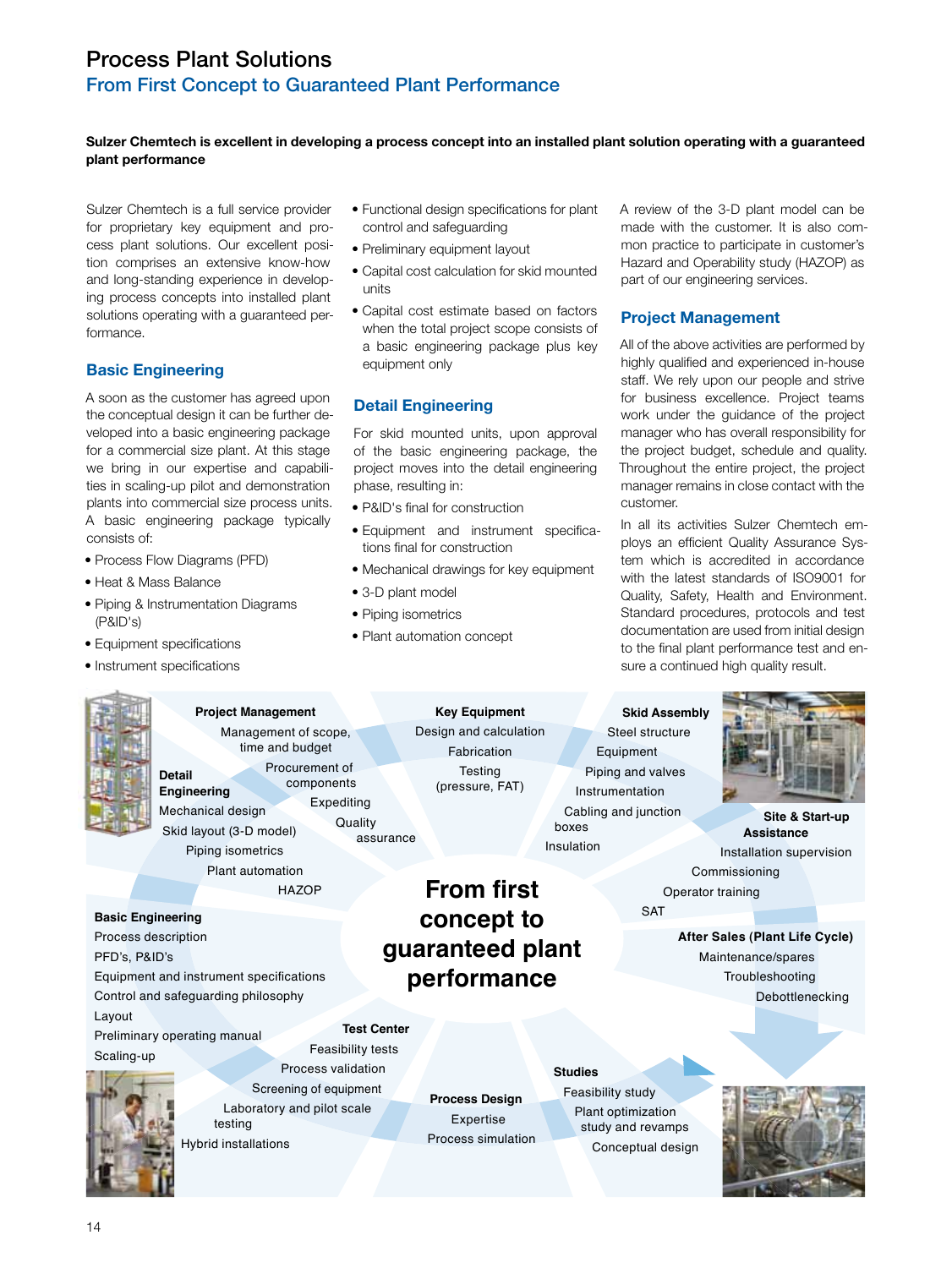# Process Plant Solutions

## From First Concept to Guaranteed Plant Performance

## **Sulzer Chemtech is excellent in developing a process concept into an installed plant solution operating with a guaranteed plant performance**

Sulzer Chemtech is a full service provider for proprietary key equipment and process plant solutions. Our excellent position comprises an extensive know-how and long-standing experience in developing process concepts into installed plant solutions operating with a guaranteed performance.

## **Basic Engineering**

A soon as the customer has agreed upon the conceptual design it can be further developed into a basic engineering package for a commercial size plant. At this stage we bring in our expertise and capabilities in scaling-up pilot and demonstration plants into commercial size process units. A basic engineering package typically consists of:

- Process Flow Diagrams (PFD)
- Heat & Mass Balance
- Piping & Instrumentation Diagrams (P&ID's)
- Equipment specifications
- Instrument specifications
- Functional design specifications for plant control and safeguarding
- Preliminary equipment layout
- Capital cost calculation for skid mounted units
- Capital cost estimate based on factors when the total project scope consists of a basic engineering package plus key equipment only

## **Detail Engineering**

For skid mounted units, upon approval of the basic engineering package, the project moves into the detail engineering phase, resulting in:

- P&ID's final for construction
- Equipment and instrument specifications final for construction
- Mechanical drawings for key equipment
- 3-D plant model
- Piping isometrics
- Plant automation concept

A review of the 3-D plant model can be made with the customer. It is also common practice to participate in customer's Hazard and Operability study (HAZOP) as part of our engineering services.

## **Project Management**

All of the above activities are performed by highly qualified and experienced in-house staff. We rely upon our people and strive for business excellence. Project teams work under the guidance of the project manager who has overall responsibility for the project budget, schedule and quality. Throughout the entire project, the project manager remains in close contact with the customer.

In all its activities Sulzer Chemtech employs an efficient Quality Assurance System which is accredited in accordance with the latest standards of ISO9001 for Quality, Safety, Health and Environment. Standard procedures, protocols and test documentation are used from initial design to the final plant performance test and ensure a continued high quality result.

**Detail Engineering** Mechanical design Skid layout (3-D model) Piping isometrics Plant automation **HAZOP Project Management** Management of scope, time and budget Procurement of components Expediting **Quality** assurance

#### **Basic Engineering**

Feasibility tests Process description PFD's, P&ID's Equipment and instrument specifications Control and safeguarding philosophy Layout Preliminary operating manual

Scaling-up

Process validation Screening of equipment Laboratory and pilot scale testing

 **Test Center**

**Key Equipment** Design and calculation Fabrication **Testing** (pressure, FAT)

**From first concept to** 

**Process Design** Expertise Process simulation

## **Skid Assembly** Steel structure Equipment Piping and valves Instrumentation Cabling and junction boxes Insulation

**SAT** 



 **Site & Start-up Assistance**  Installation supervision Commissioning Operator training

**After Sales (Plant Life Cycle)** Maintenance/spares Troubleshooting Debottlenecking

**guaranteed plant performance**

**Studies**

Feasibility study Plant optimization study and revamps Conceptual design



Hybrid installations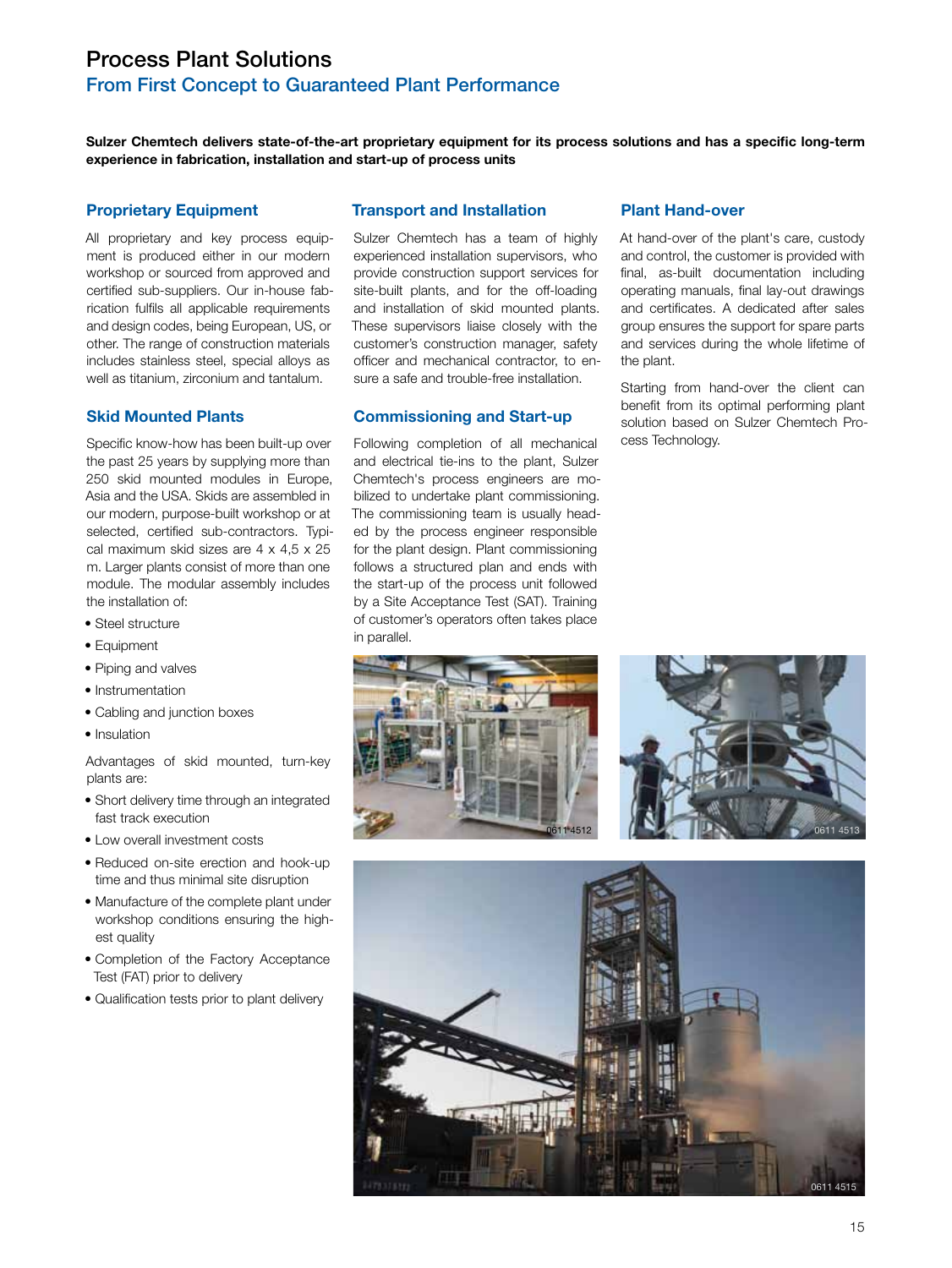# Process Plant Solutions

## From First Concept to Guaranteed Plant Performance

**Sulzer Chemtech delivers state-of-the-art proprietary equipment for its process solutions and has a specific long-term experience in fabrication, installation and start-up of process units**

### **Proprietary Equipment**

All proprietary and key process equipment is produced either in our modern workshop or sourced from approved and certified sub-suppliers. Our in-house fabrication fulfils all applicable requirements and design codes, being European, US, or other. The range of construction materials includes stainless steel, special alloys as well as titanium, zirconium and tantalum.

## **Skid Mounted Plants**

Specific know-how has been built-up over the past 25 years by supplying more than 250 skid mounted modules in Europe, Asia and the USA. Skids are assembled in our modern, purpose-built workshop or at selected, certified sub-contractors. Typical maximum skid sizes are 4 x 4,5 x 25 m. Larger plants consist of more than one module. The modular assembly includes the installation of:

- Steel structure
- Equipment
- Piping and valves
- Instrumentation
- Cabling and junction boxes
- Insulation

Advantages of skid mounted, turn-key plants are:

- Short delivery time through an integrated fast track execution
- Low overall investment costs
- Reduced on-site erection and hook-up time and thus minimal site disruption
- Manufacture of the complete plant under workshop conditions ensuring the highest quality
- Completion of the Factory Acceptance Test (FAT) prior to delivery
- Qualification tests prior to plant delivery

#### **Transport and Installation**

Sulzer Chemtech has a team of highly experienced installation supervisors, who provide construction support services for site-built plants, and for the off-loading and installation of skid mounted plants. These supervisors liaise closely with the customer's construction manager, safety officer and mechanical contractor, to ensure a safe and trouble-free installation.

## **Commissioning and Start-up**

Following completion of all mechanical and electrical tie-ins to the plant, Sulzer Chemtech's process engineers are mobilized to undertake plant commissioning. The commissioning team is usually headed by the process engineer responsible for the plant design. Plant commissioning follows a structured plan and ends with the start-up of the process unit followed by a Site Acceptance Test (SAT). Training of customer's operators often takes place in parallel.

#### **Plant Hand-over**

At hand-over of the plant's care, custody and control, the customer is provided with final, as-built documentation including operating manuals, final lay-out drawings and certificates. A dedicated after sales group ensures the support for spare parts and services during the whole lifetime of the plant.

Starting from hand-over the client can benefit from its optimal performing plant solution based on Sulzer Chemtech Process Technology.